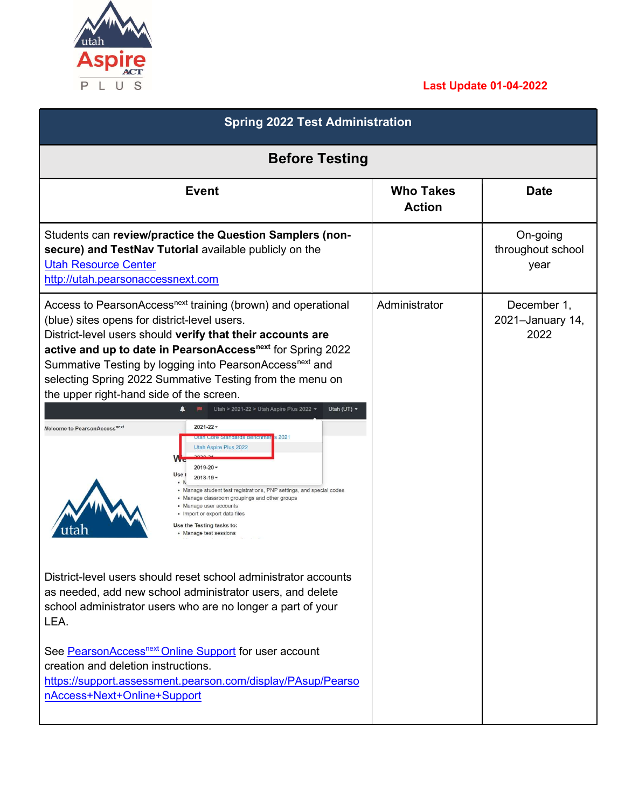

## Last Update 01-04-2022

| <b>Spring 2022 Test Administration</b><br><b>Before Testing</b>                                                                                                                                                                                                                                                                                                                                                                                                                                                                                                                                                                                                                                                                                                                                                                                                                                                                                                                                           |               |                                         |  |
|-----------------------------------------------------------------------------------------------------------------------------------------------------------------------------------------------------------------------------------------------------------------------------------------------------------------------------------------------------------------------------------------------------------------------------------------------------------------------------------------------------------------------------------------------------------------------------------------------------------------------------------------------------------------------------------------------------------------------------------------------------------------------------------------------------------------------------------------------------------------------------------------------------------------------------------------------------------------------------------------------------------|---------------|-----------------------------------------|--|
|                                                                                                                                                                                                                                                                                                                                                                                                                                                                                                                                                                                                                                                                                                                                                                                                                                                                                                                                                                                                           |               |                                         |  |
| Students can review/practice the Question Samplers (non-<br>secure) and TestNav Tutorial available publicly on the<br><b>Utah Resource Center</b><br>http://utah.pearsonaccessnext.com                                                                                                                                                                                                                                                                                                                                                                                                                                                                                                                                                                                                                                                                                                                                                                                                                    |               | On-going<br>throughout school<br>year   |  |
| Access to PearsonAccess <sup>next</sup> training (brown) and operational<br>(blue) sites opens for district-level users.<br>District-level users should verify that their accounts are<br>active and up to date in PearsonAccess <sup>next</sup> for Spring 2022<br>Summative Testing by logging into PearsonAccess <sup>next</sup> and<br>selecting Spring 2022 Summative Testing from the menu on<br>the upper right-hand side of the screen.<br>Utah > 2021-22 > Utah Aspire Plus 2022 +<br>Utah (UT) $\star$<br>$2021 - 22 -$<br><b>Nelcome to PearsonAccessnext</b><br>s 2021<br><b>Utan Core Standards Benenmar</b><br>Utah Aspire Plus 2022<br>$2019 - 20$<br>Use 1<br>$2018 - 19$ -<br>• Manage student test registrations, PNP settings, and special codes<br>• Manage classroom groupings and other groups<br>• Manage user accounts<br>· Import or export data files<br>Use the Testing tasks to:<br>• Manage test sessions<br>District-level users should reset school administrator accounts | Administrator | December 1,<br>2021-January 14,<br>2022 |  |
| as needed, add new school administrator users, and delete<br>school administrator users who are no longer a part of your<br>LEA.<br>See PearsonAccess <sup>next</sup> Online Support for user account<br>creation and deletion instructions.<br>https://support.assessment.pearson.com/display/PAsup/Pearso<br>nAccess+Next+Online+Support                                                                                                                                                                                                                                                                                                                                                                                                                                                                                                                                                                                                                                                                |               |                                         |  |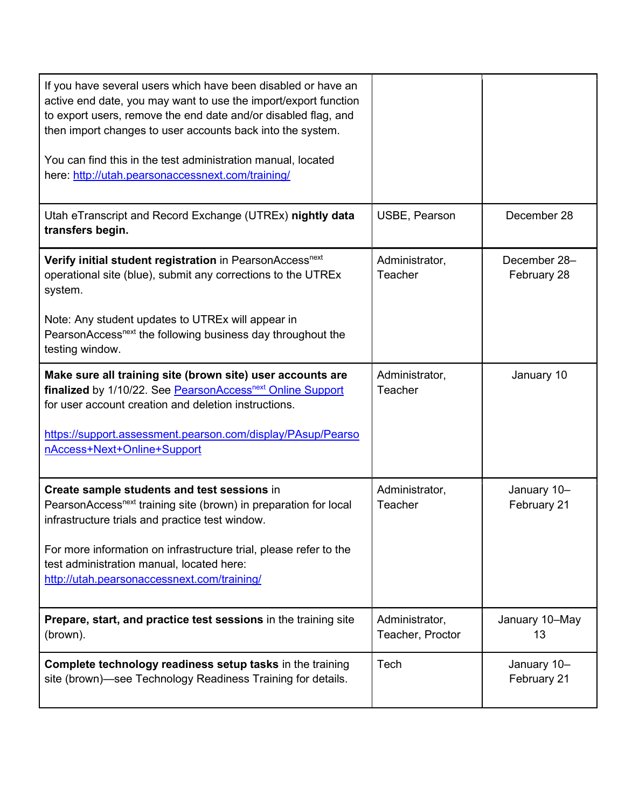| If you have several users which have been disabled or have an<br>active end date, you may want to use the import/export function<br>to export users, remove the end date and/or disabled flag, and<br>then import changes to user accounts back into the system.<br>You can find this in the test administration manual, located<br>here: http://utah.pearsonaccessnext.com/training/ |                                    |                             |
|---------------------------------------------------------------------------------------------------------------------------------------------------------------------------------------------------------------------------------------------------------------------------------------------------------------------------------------------------------------------------------------|------------------------------------|-----------------------------|
| Utah eTranscript and Record Exchange (UTREx) nightly data<br>transfers begin.                                                                                                                                                                                                                                                                                                         | USBE, Pearson                      | December 28                 |
| Verify initial student registration in PearsonAccess <sup>next</sup><br>operational site (blue), submit any corrections to the UTREx<br>system.<br>Note: Any student updates to UTREx will appear in<br>PearsonAccess <sup>next</sup> the following business day throughout the<br>testing window.                                                                                    | Administrator,<br>Teacher          | December 28-<br>February 28 |
| Make sure all training site (brown site) user accounts are<br>finalized by 1/10/22. See PearsonAccess <sup>next</sup> Online Support<br>for user account creation and deletion instructions.<br>https://support.assessment.pearson.com/display/PAsup/Pearso<br>nAccess+Next+Online+Support                                                                                            | Administrator,<br>Teacher          | January 10                  |
| Create sample students and test sessions in<br>PearsonAccess <sup>next</sup> training site (brown) in preparation for local<br>infrastructure trials and practice test window.<br>For more information on infrastructure trial, please refer to the<br>test administration manual, located here:<br>http://utah.pearsonaccessnext.com/training/                                       | Administrator,<br>Teacher          | January 10-<br>February 21  |
| Prepare, start, and practice test sessions in the training site<br>(brown).                                                                                                                                                                                                                                                                                                           | Administrator,<br>Teacher, Proctor | January 10-May<br>13        |
| Complete technology readiness setup tasks in the training<br>site (brown)—see Technology Readiness Training for details.                                                                                                                                                                                                                                                              | Tech                               | January 10-<br>February 21  |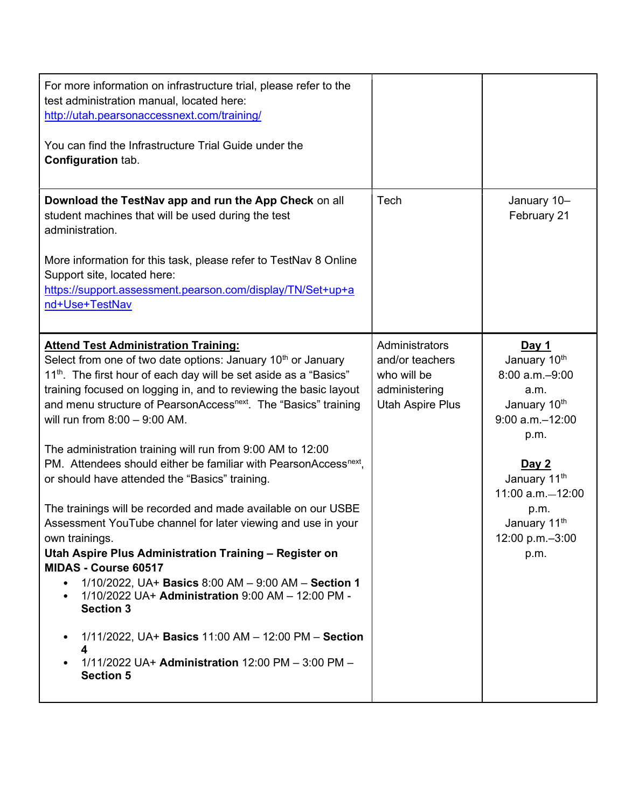| For more information on infrastructure trial, please refer to the<br>test administration manual, located here:<br>http://utah.pearsonaccessnext.com/training/<br>You can find the Infrastructure Trial Guide under the<br><b>Configuration tab.</b>                                                                                                                                                                                                                                                                                                                                                                                                                                                                                                                                                                                                                                                                                                                                                                                                                                                                                      |                                                                                       |                                                                                                                                                                                                               |
|------------------------------------------------------------------------------------------------------------------------------------------------------------------------------------------------------------------------------------------------------------------------------------------------------------------------------------------------------------------------------------------------------------------------------------------------------------------------------------------------------------------------------------------------------------------------------------------------------------------------------------------------------------------------------------------------------------------------------------------------------------------------------------------------------------------------------------------------------------------------------------------------------------------------------------------------------------------------------------------------------------------------------------------------------------------------------------------------------------------------------------------|---------------------------------------------------------------------------------------|---------------------------------------------------------------------------------------------------------------------------------------------------------------------------------------------------------------|
| Download the TestNav app and run the App Check on all<br>student machines that will be used during the test<br>administration.<br>More information for this task, please refer to TestNav 8 Online<br>Support site, located here:<br>https://support.assessment.pearson.com/display/TN/Set+up+a<br>nd+Use+TestNav                                                                                                                                                                                                                                                                                                                                                                                                                                                                                                                                                                                                                                                                                                                                                                                                                        | Tech                                                                                  | January 10-<br>February 21                                                                                                                                                                                    |
| <b>Attend Test Administration Training:</b><br>Select from one of two date options: January 10 <sup>th</sup> or January<br>11 <sup>th</sup> . The first hour of each day will be set aside as a "Basics"<br>training focused on logging in, and to reviewing the basic layout<br>and menu structure of PearsonAccess <sup>next</sup> . The "Basics" training<br>will run from $8:00 - 9:00$ AM.<br>The administration training will run from 9:00 AM to 12:00<br>PM. Attendees should either be familiar with PearsonAccess <sup>next</sup> ,<br>or should have attended the "Basics" training.<br>The trainings will be recorded and made available on our USBE<br>Assessment YouTube channel for later viewing and use in your<br>own trainings.<br>Utah Aspire Plus Administration Training - Register on<br>MIDAS - Course 60517<br>1/10/2022, UA+ Basics 8:00 AM - 9:00 AM - Section 1<br>$\bullet$<br>1/10/2022 UA+ Administration 9:00 AM - 12:00 PM -<br>$\bullet$<br><b>Section 3</b><br>1/11/2022, UA+ Basics 11:00 AM - 12:00 PM - Section<br>٠<br>4<br>1/11/2022 UA+ Administration 12:00 PM - 3:00 PM -<br><b>Section 5</b> | Administrators<br>and/or teachers<br>who will be<br>administering<br>Utah Aspire Plus | Day 1<br>January 10th<br>8:00 a.m.-9:00<br>a.m.<br>January 10th<br>$9:00$ a.m. $-12:00$<br>p.m.<br>Day 2<br>January 11th<br>11:00 a.m. - 12:00<br>p.m.<br>January 11 <sup>th</sup><br>12:00 p.m.-3:00<br>p.m. |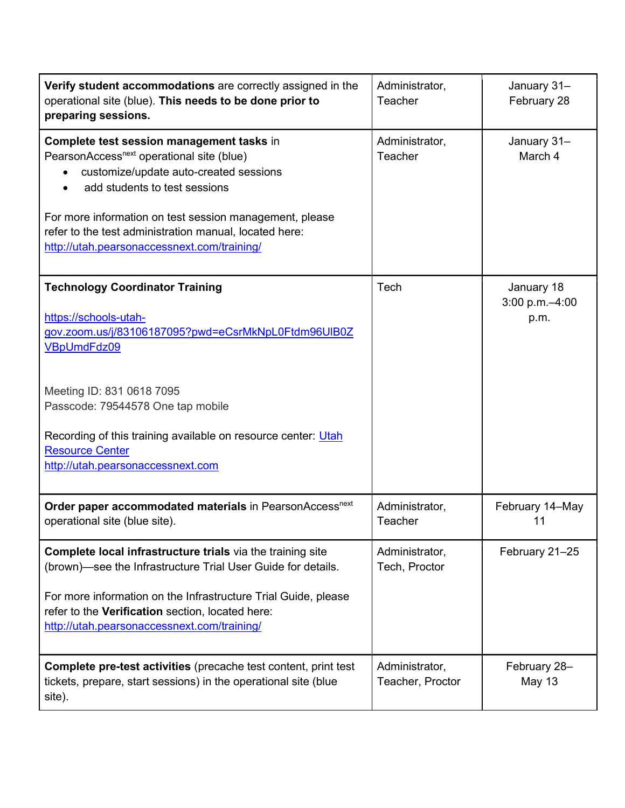| Verify student accommodations are correctly assigned in the<br>operational site (blue). This needs to be done prior to<br>preparing sessions.                                                                                                                                                   | Administrator,<br>Teacher          | January 31-<br>February 28              |
|-------------------------------------------------------------------------------------------------------------------------------------------------------------------------------------------------------------------------------------------------------------------------------------------------|------------------------------------|-----------------------------------------|
| Complete test session management tasks in<br>PearsonAccess <sup>next</sup> operational site (blue)<br>customize/update auto-created sessions<br>add students to test sessions                                                                                                                   | Administrator,<br>Teacher          | January 31-<br>March 4                  |
| For more information on test session management, please<br>refer to the test administration manual, located here:<br>http://utah.pearsonaccessnext.com/training/                                                                                                                                |                                    |                                         |
| <b>Technology Coordinator Training</b><br>https://schools-utah-<br>gov.zoom.us/j/83106187095?pwd=eCsrMkNpL0Ftdm96UIB0Z<br>VBpUmdFdz09                                                                                                                                                           | Tech                               | January 18<br>$3:00 p.m. -4:00$<br>p.m. |
| Meeting ID: 831 0618 7095<br>Passcode: 79544578 One tap mobile<br>Recording of this training available on resource center: Utah<br><b>Resource Center</b>                                                                                                                                       |                                    |                                         |
| http://utah.pearsonaccessnext.com                                                                                                                                                                                                                                                               |                                    |                                         |
| Order paper accommodated materials in PearsonAccess <sup>next</sup><br>operational site (blue site).                                                                                                                                                                                            | Administrator,<br>Teacher          | February 14-May<br>11                   |
| Complete local infrastructure trials via the training site<br>(brown)-see the Infrastructure Trial User Guide for details.<br>For more information on the Infrastructure Trial Guide, please<br>refer to the Verification section, located here:<br>http://utah.pearsonaccessnext.com/training/ | Administrator,<br>Tech, Proctor    | February 21-25                          |
| Complete pre-test activities (precache test content, print test<br>tickets, prepare, start sessions) in the operational site (blue<br>site).                                                                                                                                                    | Administrator,<br>Teacher, Proctor | February 28-<br><b>May 13</b>           |